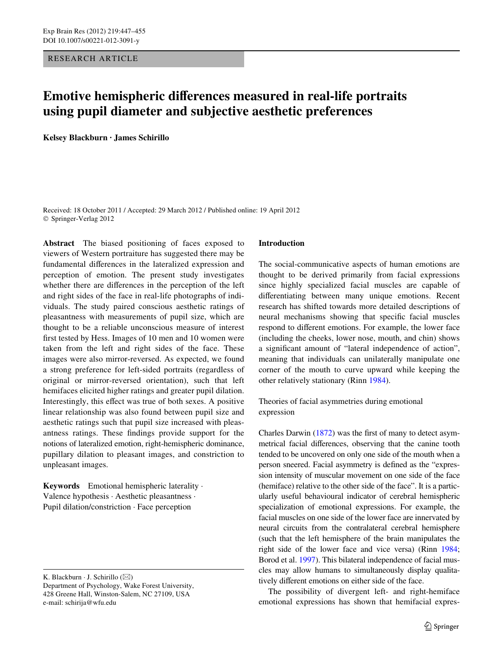RESEARCH ARTICLE

# **Emotive hemispheric differences measured in real-life portraits using pupil diameter and subjective aesthetic preferences**

**Kelsey Blackburn · James Schirillo** 

Received: 18 October 2011 / Accepted: 29 March 2012 / Published online: 19 April 2012 © Springer-Verlag 2012

**Abstract** The biased positioning of faces exposed to viewers of Western portraiture has suggested there may be fundamental differences in the lateralized expression and perception of emotion. The present study investigates whether there are differences in the perception of the left and right sides of the face in real-life photographs of individuals. The study paired conscious aesthetic ratings of pleasantness with measurements of pupil size, which are thought to be a reliable unconscious measure of interest first tested by Hess. Images of 10 men and 10 women were taken from the left and right sides of the face. These images were also mirror-reversed. As expected, we found a strong preference for left-sided portraits (regardless of original or mirror-reversed orientation), such that left hemifaces elicited higher ratings and greater pupil dilation. Interestingly, this effect was true of both sexes. A positive linear relationship was also found between pupil size and aesthetic ratings such that pupil size increased with pleasantness ratings. These findings provide support for the notions of lateralized emotion, right-hemispheric dominance, pupillary dilation to pleasant images, and constriction to unpleasant images.

**Keywords** Emotional hemispheric laterality · Valence hypothesis · Aesthetic pleasantness · Pupil dilation/constriction · Face perception

## **Introduction**

The social-communicative aspects of human emotions are thought to be derived primarily from facial expressions since highly specialized facial muscles are capable of differentiating between many unique emotions. Recent research has shifted towards more detailed descriptions of neural mechanisms showing that specific facial muscles respond to different emotions. For example, the lower face (including the cheeks, lower nose, mouth, and chin) shows a significant amount of "lateral independence of action", meaning that individuals can unilaterally manipulate one corner of the mouth to curve upward while keeping the other relatively stationary (Rinn [1984\)](#page-8-0).

Theories of facial asymmetries during emotional expression

Charles Darwin  $(1872)$  $(1872)$  $(1872)$  was the first of many to detect asymmetrical facial differences, observing that the canine tooth tended to be uncovered on only one side of the mouth when a person sneered. Facial asymmetry is defined as the "expression intensity of muscular movement on one side of the face (hemiface) relative to the other side of the face". It is a particularly useful behavioural indicator of cerebral hemispheric specialization of emotional expressions. For example, the facial muscles on one side of the lower face are innervated by neural circuits from the contralateral cerebral hemisphere (such that the left hemisphere of the brain manipulates the right side of the lower face and vice versa) (Rinn [1984;](#page-8-0) Borod et al. [1997](#page-7-1)). This bilateral independence of facial muscles may allow humans to simultaneously display qualitatively different emotions on either side of the face.

The possibility of divergent left- and right-hemiface emotional expressions has shown that hemifacial expres-

K. Blackburn  $\cdot$  J. Schirillo ( $\boxtimes$ )

Department of Psychology, Wake Forest University, 428 Greene Hall, Winston-Salem, NC 27109, USA e-mail: schirija@wfu.edu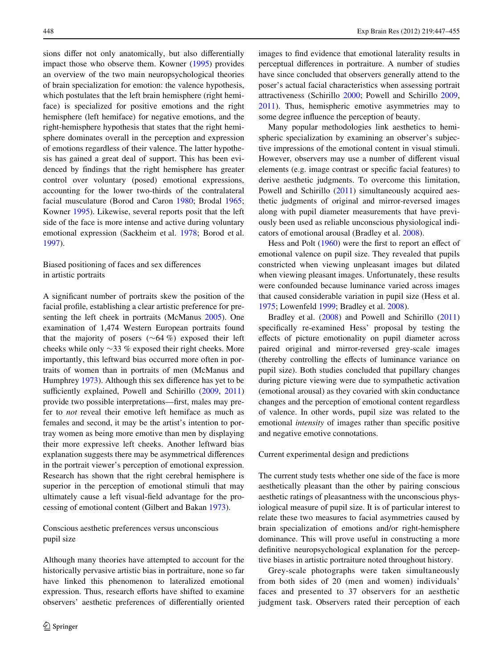sions differ not only anatomically, but also differentially impact those who observe them. Kowner ([1995\)](#page-8-1) provides an overview of the two main neuropsychological theories of brain specialization for emotion: the valence hypothesis, which postulates that the left brain hemisphere (right hemiface) is specialized for positive emotions and the right hemisphere (left hemiface) for negative emotions, and the right-hemisphere hypothesis that states that the right hemisphere dominates overall in the perception and expression of emotions regardless of their valence. The latter hypothesis has gained a great deal of support. This has been evidenced by findings that the right hemisphere has greater control over voluntary (posed) emotional expressions, accounting for the lower two-thirds of the contralateral facial musculature (Borod and Caron [1980;](#page-7-2) Brodal [1965](#page-7-3); Kowner [1995](#page-8-1)). Likewise, several reports posit that the left side of the face is more intense and active during voluntary emotional expression (Sackheim et al. [1978](#page-8-2); Borod et al. [1997](#page-7-1)).

# Biased positioning of faces and sex differences in artistic portraits

A significant number of portraits skew the position of the facial profile, establishing a clear artistic preference for presenting the left cheek in portraits (McManus [2005\)](#page-8-3). One examination of 1,474 Western European portraits found that the majority of posers  $(\sim 64 \%)$  exposed their left cheeks while only  $\sim$ 33 % exposed their right cheeks. More importantly, this leftward bias occurred more often in portraits of women than in portraits of men (McManus and Humphrey  $1973$ ). Although this sex difference has yet to be sufficiently explained, Powell and Schirillo ([2009,](#page-8-5) [2011\)](#page-8-6) provide two possible interpretations—first, males may prefer to *not* reveal their emotive left hemiface as much as females and second, it may be the artist's intention to portray women as being more emotive than men by displaying their more expressive left cheeks. Another leftward bias explanation suggests there may be asymmetrical differences in the portrait viewer's perception of emotional expression. Research has shown that the right cerebral hemisphere is superior in the perception of emotional stimuli that may ultimately cause a left visual-field advantage for the processing of emotional content (Gilbert and Bakan [1973](#page-8-7)).

Conscious aesthetic preferences versus unconscious pupil size

Although many theories have attempted to account for the historically pervasive artistic bias in portraiture, none so far have linked this phenomenon to lateralized emotional expression. Thus, research efforts have shifted to examine observers' aesthetic preferences of differentially oriented images to find evidence that emotional laterality results in perceptual differences in portraiture. A number of studies have since concluded that observers generally attend to the poser's actual facial characteristics when assessing portrait attractiveness (Schirillo [2000](#page-8-8); Powell and Schirillo [2009,](#page-8-5) [2011](#page-8-6)). Thus, hemispheric emotive asymmetries may to some degree influence the perception of beauty.

Many popular methodologies link aesthetics to hemispheric specialization by examining an observer's subjective impressions of the emotional content in visual stimuli. However, observers may use a number of different visual elements (e.g. image contrast or specific facial features) to derive aesthetic judgments. To overcome this limitation, Powell and Schirillo ([2011\)](#page-8-6) simultaneously acquired aesthetic judgments of original and mirror-reversed images along with pupil diameter measurements that have previously been used as reliable unconscious physiological indicators of emotional arousal (Bradley et al. [2008\)](#page-7-4).

Hess and Polt  $(1960)$  $(1960)$  $(1960)$  were the first to report an effect of emotional valence on pupil size. They revealed that pupils constricted when viewing unpleasant images but dilated when viewing pleasant images. Unfortunately, these results were confounded because luminance varied across images that caused considerable variation in pupil size (Hess et al. [1975](#page-8-10); Lowenfeld [1999](#page-8-11); Bradley et al. [2008\)](#page-7-4).

Bradley et al. ([2008\)](#page-7-4) and Powell and Schirillo ([2011\)](#page-8-6) specifically re-examined Hess' proposal by testing the effects of picture emotionality on pupil diameter across paired original and mirror-reversed grey-scale images (thereby controlling the effects of luminance variance on pupil size). Both studies concluded that pupillary changes during picture viewing were due to sympathetic activation (emotional arousal) as they covaried with skin conductance changes and the perception of emotional content regardless of valence. In other words, pupil size was related to the emotional *intensity* of images rather than specific positive and negative emotive connotations.

#### Current experimental design and predictions

The current study tests whether one side of the face is more aesthetically pleasant than the other by pairing conscious aesthetic ratings of pleasantness with the unconscious physiological measure of pupil size. It is of particular interest to relate these two measures to facial asymmetries caused by brain specialization of emotions and/or right-hemisphere dominance. This will prove useful in constructing a more definitive neuropsychological explanation for the perceptive biases in artistic portraiture noted throughout history.

Grey-scale photographs were taken simultaneously from both sides of 20 (men and women) individuals' faces and presented to 37 observers for an aesthetic judgment task. Observers rated their perception of each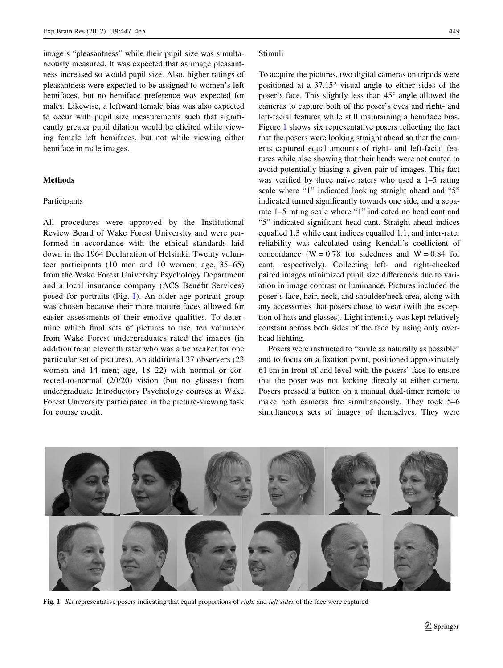image's "pleasantness" while their pupil size was simultaneously measured. It was expected that as image pleasantness increased so would pupil size. Also, higher ratings of pleasantness were expected to be assigned to women's left hemifaces, but no hemiface preference was expected for males. Likewise, a leftward female bias was also expected to occur with pupil size measurements such that significantly greater pupil dilation would be elicited while viewing female left hemifaces, but not while viewing either hemiface in male images.

## **Methods**

## Participants

All procedures were approved by the Institutional Review Board of Wake Forest University and were performed in accordance with the ethical standards laid down in the 1964 Declaration of Helsinki. Twenty volunteer participants (10 men and 10 women; age, 35–65) from the Wake Forest University Psychology Department and a local insurance company (ACS Benefit Services) posed for portraits (Fig. [1](#page-2-0)). An older-age portrait group was chosen because their more mature faces allowed for easier assessments of their emotive qualities. To determine which final sets of pictures to use, ten volunteer from Wake Forest undergraduates rated the images (in addition to an eleventh rater who was a tiebreaker for one particular set of pictures). An additional 37 observers (23 women and 14 men; age, 18–22) with normal or corrected-to-normal (20/20) vision (but no glasses) from undergraduate Introductory Psychology courses at Wake Forest University participated in the picture-viewing task for course credit.

#### Stimuli

To acquire the pictures, two digital cameras on tripods were positioned at a 37.15° visual angle to either sides of the poser's face. This slightly less than 45° angle allowed the cameras to capture both of the poser's eyes and right- and left-facial features while still maintaining a hemiface bias. Figure [1](#page-2-0) shows six representative posers reflecting the fact that the posers were looking straight ahead so that the cameras captured equal amounts of right- and left-facial features while also showing that their heads were not canted to avoid potentially biasing a given pair of images. This fact was verified by three naïve raters who used a  $1-5$  rating scale where "1" indicated looking straight ahead and "5" indicated turned significantly towards one side, and a separate 1–5 rating scale where "1" indicated no head cant and "5" indicated significant head cant. Straight ahead indices equalled 1.3 while cant indices equalled 1.1, and inter-rater reliability was calculated using Kendall's coefficient of concordance (W =  $0.78$  for sidedness and W =  $0.84$  for cant, respectively). Collecting left- and right-cheeked paired images minimized pupil size differences due to variation in image contrast or luminance. Pictures included the poser's face, hair, neck, and shoulder/neck area, along with any accessories that posers chose to wear (with the exception of hats and glasses). Light intensity was kept relatively constant across both sides of the face by using only overhead lighting.

Posers were instructed to "smile as naturally as possible" and to focus on a fixation point, positioned approximately 61 cm in front of and level with the posers' face to ensure that the poser was not looking directly at either camera. Posers pressed a button on a manual dual-timer remote to make both cameras fire simultaneously. They took  $5-6$ simultaneous sets of images of themselves. They were

<span id="page-2-0"></span>

**Fig. 1** *Six* representative posers indicating that equal proportions of *right* and *left sides* of the face were captured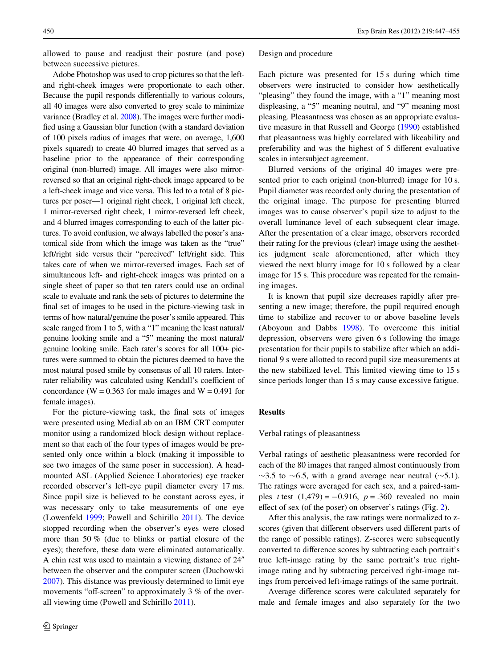allowed to pause and readjust their posture (and pose) between successive pictures.

Adobe Photoshop was used to crop pictures so that the leftand right-cheek images were proportionate to each other. Because the pupil responds differentially to various colours, all 40 images were also converted to grey scale to minimize variance (Bradley et al. [2008\)](#page-7-4). The images were further modified using a Gaussian blur function (with a standard deviation of 100 pixels radius of images that were, on average, 1,600 pixels squared) to create 40 blurred images that served as a baseline prior to the appearance of their corresponding original (non-blurred) image. All images were also mirrorreversed so that an original right-cheek image appeared to be a left-cheek image and vice versa. This led to a total of 8 pictures per poser—1 original right cheek, 1 original left cheek, 1 mirror-reversed right cheek, 1 mirror-reversed left cheek, and 4 blurred images corresponding to each of the latter pictures. To avoid confusion, we always labelled the poser's anatomical side from which the image was taken as the "true" left/right side versus their "perceived" left/right side. This takes care of when we mirror-reversed images. Each set of simultaneous left- and right-cheek images was printed on a single sheet of paper so that ten raters could use an ordinal scale to evaluate and rank the sets of pictures to determine the final set of images to be used in the picture-viewing task in terms of how natural/genuine the poser's smile appeared. This scale ranged from 1 to 5, with a "1" meaning the least natural/ genuine looking smile and a "5" meaning the most natural/ genuine looking smile. Each rater's scores for all 100+ pictures were summed to obtain the pictures deemed to have the most natural posed smile by consensus of all 10 raters. Interrater reliability was calculated using Kendall's coefficient of concordance (W =  $0.363$  for male images and W =  $0.491$  for female images).

For the picture-viewing task, the final sets of images were presented using MediaLab on an IBM CRT computer monitor using a randomized block design without replacement so that each of the four types of images would be presented only once within a block (making it impossible to see two images of the same poser in succession). A headmounted ASL (Applied Science Laboratories) eye tracker recorded observer's left-eye pupil diameter every 17 ms. Since pupil size is believed to be constant across eyes, it was necessary only to take measurements of one eye (Lowenfeld [1999](#page-8-11); Powell and Schirillo [2011\)](#page-8-6). The device stopped recording when the observer's eyes were closed more than 50 % (due to blinks or partial closure of the eyes); therefore, these data were eliminated automatically. A chin rest was used to maintain a viewing distance of 24" between the observer and the computer screen (Duchowski [2007](#page-7-5)). This distance was previously determined to limit eye movements "off-screen" to approximately  $3\%$  of the overall viewing time (Powell and Schirillo [2011\)](#page-8-6).

#### Design and procedure

Each picture was presented for 15 s during which time observers were instructed to consider how aesthetically "pleasing" they found the image, with a "1" meaning most displeasing, a "5" meaning neutral, and "9" meaning most pleasing. Pleasantness was chosen as an appropriate evaluative measure in that Russell and George ([1990\)](#page-8-12) established that pleasantness was highly correlated with likeability and preferability and was the highest of 5 different evaluative scales in intersubject agreement.

Blurred versions of the original 40 images were presented prior to each original (non-blurred) image for 10 s. Pupil diameter was recorded only during the presentation of the original image. The purpose for presenting blurred images was to cause observer's pupil size to adjust to the overall luminance level of each subsequent clear image. After the presentation of a clear image, observers recorded their rating for the previous (clear) image using the aesthetics judgment scale aforementioned, after which they viewed the next blurry image for 10 s followed by a clear image for 15 s. This procedure was repeated for the remaining images.

It is known that pupil size decreases rapidly after presenting a new image; therefore, the pupil required enough time to stabilize and recover to or above baseline levels (Aboyoun and Dabbs [1998](#page-7-6)). To overcome this initial depression, observers were given 6 s following the image presentation for their pupils to stabilize after which an additional 9 s were allotted to record pupil size measurements at the new stabilized level. This limited viewing time to 15 s since periods longer than 15 s may cause excessive fatigue.

## **Results**

#### Verbal ratings of pleasantness

Verbal ratings of aesthetic pleasantness were recorded for each of the 80 images that ranged almost continuously from  $\sim$ 3.5 to  $\sim$ 6.5, with a grand average near neutral ( $\sim$ 5.1). The ratings were averaged for each sex, and a paired-samples *t* test  $(1,479) = -0.916$ ,  $p = .360$  revealed no main effect of sex (of the poser) on observer's ratings (Fig. [2](#page-4-0)).

After this analysis, the raw ratings were normalized to zscores (given that different observers used different parts of the range of possible ratings). Z-scores were subsequently converted to difference scores by subtracting each portrait's true left-image rating by the same portrait's true rightimage rating and by subtracting perceived right-image ratings from perceived left-image ratings of the same portrait.

Average difference scores were calculated separately for male and female images and also separately for the two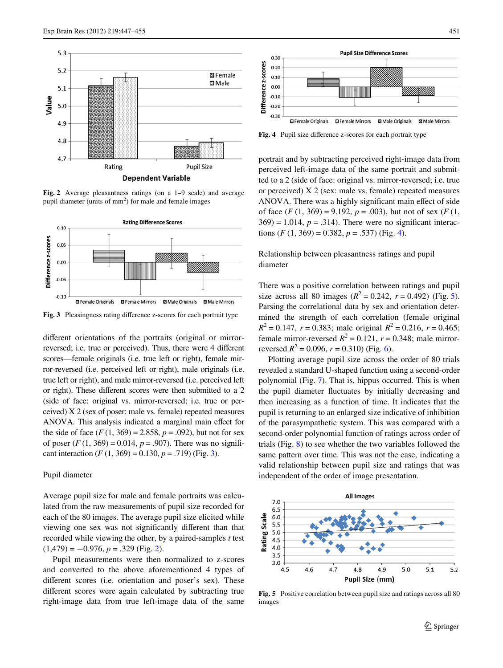

<span id="page-4-0"></span>**Fig. 2** Average pleasantness ratings (on a 1–9 scale) and average pupil diameter (units of  $mm<sup>2</sup>$ ) for male and female images



<span id="page-4-1"></span>Fig. 3 Pleasingness rating difference z-scores for each portrait type

different orientations of the portraits (original or mirrorreversed; i.e. true or perceived). Thus, there were 4 different scores—female originals (i.e. true left or right), female mirror-reversed (i.e. perceived left or right), male originals (i.e. true left or right), and male mirror-reversed (i.e. perceived left or right). These different scores were then submitted to a 2 (side of face: original vs. mirror-reversed; i.e. true or perceived) X 2 (sex of poser: male vs. female) repeated measures ANOVA. This analysis indicated a marginal main effect for the side of face  $(F(1, 369) = 2.858, p = .092)$ , but not for sex of poser  $(F(1, 369) = 0.014, p = .907)$ . There was no significant interaction  $(F (1, 369) = 0.130, p = .719)$  $(F (1, 369) = 0.130, p = .719)$  $(F (1, 369) = 0.130, p = .719)$  (Fig. 3).

## Pupil diameter

Average pupil size for male and female portraits was calculated from the raw measurements of pupil size recorded for each of the 80 images. The average pupil size elicited while viewing one sex was not significantly different than that recorded while viewing the other, by a paired-samples *t* test  $(1,479) = -0.976, p = .329$  $(1,479) = -0.976, p = .329$  $(1,479) = -0.976, p = .329$  (Fig. 2).

Pupil measurements were then normalized to z-scores and converted to the above aforementioned 4 types of different scores (i.e. orientation and poser's sex). These different scores were again calculated by subtracting true right-image data from true left-image data of the same



<span id="page-4-2"></span>Fig. 4 Pupil size difference z-scores for each portrait type

portrait and by subtracting perceived right-image data from perceived left-image data of the same portrait and submitted to a 2 (side of face: original vs. mirror-reversed; i.e. true or perceived) X 2 (sex: male vs. female) repeated measures ANOVA. There was a highly significant main effect of side of face  $(F(1, 369) = 9.192, p = .003)$ , but not of sex  $(F(1, 369) = 9.192, p = .003)$  $369$  = 1.014,  $p = .314$ ). There were no significant interactions  $(F (1, 369) = 0.382, p = .537)$  (Fig. [4](#page-4-2)).

Relationship between pleasantness ratings and pupil diameter

There was a positive correlation between ratings and pupil size across all 80 images  $(R^2 = 0.242, r = 0.492)$  (Fig. [5](#page-4-3)). Parsing the correlational data by sex and orientation determined the strength of each correlation (female original  $R^2 = 0.147$ ,  $r = 0.383$ ; male original  $R^2 = 0.216$ ,  $r = 0.465$ ; female mirror-reversed  $R^2 = 0.121$ ,  $r = 0.348$ ; male mirrorreversed  $R^2 = 0.096$ ,  $r = 0.310$ ) (Fig. [6\)](#page-5-0).

Plotting average pupil size across the order of 80 trials revealed a standard U-shaped function using a second-order polynomial (Fig. [7](#page-5-1)). That is, hippus occurred. This is when the pupil diameter fluctuates by initially decreasing and then increasing as a function of time. It indicates that the pupil is returning to an enlarged size indicative of inhibition of the parasympathetic system. This was compared with a second-order polynomial function of ratings across order of trials (Fig. [8\)](#page-5-2) to see whether the two variables followed the same pattern over time. This was not the case, indicating a valid relationship between pupil size and ratings that was independent of the order of image presentation.



<span id="page-4-3"></span>**Fig. 5** Positive correlation between pupil size and ratings across all 80 images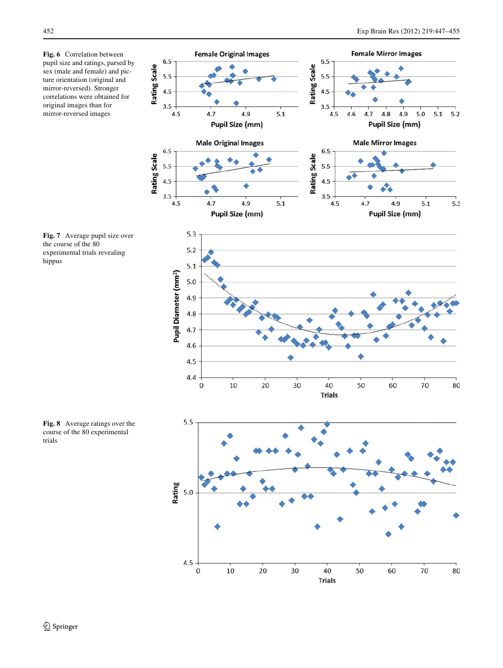<span id="page-5-0"></span>**Fig. 6** Correlation between pupil size and ratings, parsed by sex (male and female) and picture orientation (original and mirror-reversed). Stronger correlations were obtained for original images than for mirror-reversed images





<span id="page-5-1"></span>**Fig. 7** Average pupil size over the course of the 80 experimental trials revealing hippus

<span id="page-5-2"></span>**Fig. 8** Average ratings over the course of the 80 experimental trials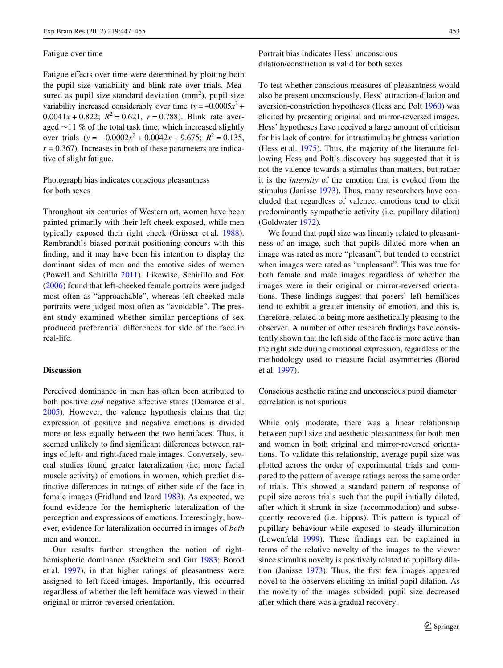#### Fatigue over time

Fatigue effects over time were determined by plotting both the pupil size variability and blink rate over trials. Measured as pupil size standard deviation  $(mm<sup>2</sup>)$ , pupil size variability increased considerably over time ( $y = -0.0005x^2 +$ 0.0041*x* + 0.822;  $R^2 = 0.621$ ,  $r = 0.788$ ). Blink rate averaged  $\sim$ 11 % of the total task time, which increased slightly over trials  $(y = -0.0002x^2 + 0.0042x + 9.675$ ;  $R^2 = 0.135$ ,  $r = 0.367$ ). Increases in both of these parameters are indicative of slight fatigue.

# Photograph bias indicates conscious pleasantness for both sexes

Throughout six centuries of Western art, women have been painted primarily with their left cheek exposed, while men typically exposed their right cheek (Grüsser et al. [1988](#page-8-13)). Rembrandt's biased portrait positioning concurs with this finding, and it may have been his intention to display the dominant sides of men and the emotive sides of women (Powell and Schirillo [2011](#page-8-6)). Likewise, Schirillo and Fox [\(2006](#page-8-14)) found that left-cheeked female portraits were judged most often as "approachable", whereas left-cheeked male portraits were judged most often as "avoidable". The present study examined whether similar perceptions of sex produced preferential differences for side of the face in real-life.

## **Discussion**

Perceived dominance in men has often been attributed to both positive *and* negative affective states (Demaree et al. [2005](#page-7-7)). However, the valence hypothesis claims that the expression of positive and negative emotions is divided more or less equally between the two hemifaces. Thus, it seemed unlikely to find significant differences between ratings of left- and right-faced male images. Conversely, several studies found greater lateralization (i.e. more facial muscle activity) of emotions in women, which predict distinctive differences in ratings of either side of the face in female images (Fridlund and Izard [1983\)](#page-7-8). As expected, we found evidence for the hemispheric lateralization of the perception and expressions of emotions. Interestingly, however, evidence for lateralization occurred in images of *both* men and women.

Our results further strengthen the notion of righthemispheric dominance (Sackheim and Gur [1983](#page-8-15); Borod et al. [1997](#page-7-1)), in that higher ratings of pleasantness were assigned to left-faced images. Importantly, this occurred regardless of whether the left hemiface was viewed in their original or mirror-reversed orientation.

# Portrait bias indicates Hess' unconscious dilation/constriction is valid for both sexes

To test whether conscious measures of pleasantness would also be present unconsciously, Hess' attraction-dilation and aversion-constriction hypotheses (Hess and Polt [1960\)](#page-8-9) was elicited by presenting original and mirror-reversed images. Hess' hypotheses have received a large amount of criticism for his lack of control for intrastimulus brightness variation (Hess et al. [1975](#page-8-10)). Thus, the majority of the literature following Hess and Polt's discovery has suggested that it is not the valence towards a stimulus than matters, but rather it is the *intensity* of the emotion that is evoked from the stimulus (Janisse [1973\)](#page-8-16). Thus, many researchers have concluded that regardless of valence, emotions tend to elicit predominantly sympathetic activity (i.e. pupillary dilation) (Goldwater [1972](#page-8-17)).

We found that pupil size was linearly related to pleasantness of an image, such that pupils dilated more when an image was rated as more "pleasant", but tended to constrict when images were rated as "unpleasant". This was true for both female and male images regardless of whether the images were in their original or mirror-reversed orientations. These findings suggest that posers' left hemifaces tend to exhibit a greater intensity of emotion, and this is, therefore, related to being more aesthetically pleasing to the observer. A number of other research findings have consistently shown that the left side of the face is more active than the right side during emotional expression, regardless of the methodology used to measure facial asymmetries (Borod et al. [1997](#page-7-1)).

Conscious aesthetic rating and unconscious pupil diameter correlation is not spurious

While only moderate, there was a linear relationship between pupil size and aesthetic pleasantness for both men and women in both original and mirror-reversed orientations. To validate this relationship, average pupil size was plotted across the order of experimental trials and compared to the pattern of average ratings across the same order of trials. This showed a standard pattern of response of pupil size across trials such that the pupil initially dilated, after which it shrunk in size (accommodation) and subsequently recovered (i.e. hippus). This pattern is typical of pupillary behaviour while exposed to steady illumination (Lowenfeld [1999](#page-8-11)). These findings can be explained in terms of the relative novelty of the images to the viewer since stimulus novelty is positively related to pupillary dila-tion (Janisse [1973](#page-8-16)). Thus, the first few images appeared novel to the observers eliciting an initial pupil dilation. As the novelty of the images subsided, pupil size decreased after which there was a gradual recovery.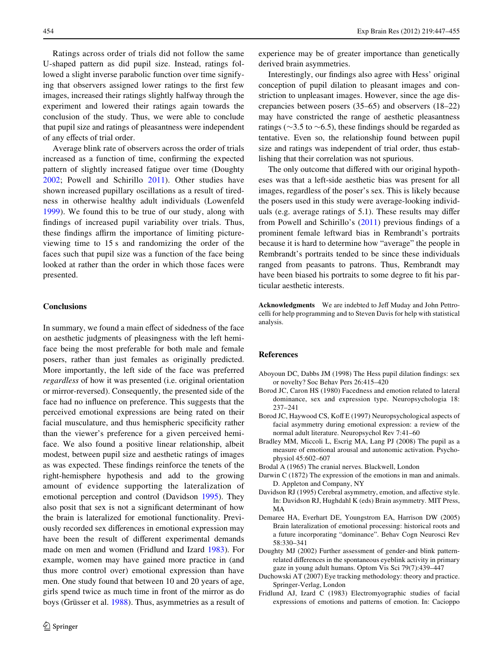Ratings across order of trials did not follow the same U-shaped pattern as did pupil size. Instead, ratings followed a slight inverse parabolic function over time signifying that observers assigned lower ratings to the first few images, increased their ratings slightly halfway through the experiment and lowered their ratings again towards the conclusion of the study. Thus, we were able to conclude that pupil size and ratings of pleasantness were independent of any effects of trial order.

Average blink rate of observers across the order of trials increased as a function of time, confirming the expected pattern of slightly increased fatigue over time (Doughty [2002](#page-7-9); Powell and Schirillo [2011](#page-8-6)). Other studies have shown increased pupillary oscillations as a result of tiredness in otherwise healthy adult individuals (Lowenfeld [1999](#page-8-11)). We found this to be true of our study, along with findings of increased pupil variability over trials. Thus, these findings affirm the importance of limiting pictureviewing time to 15 s and randomizing the order of the faces such that pupil size was a function of the face being looked at rather than the order in which those faces were presented.

#### **Conclusions**

In summary, we found a main effect of sidedness of the face on aesthetic judgments of pleasingness with the left hemiface being the most preferable for both male and female posers, rather than just females as originally predicted. More importantly, the left side of the face was preferred *regardless* of how it was presented (i.e. original orientation or mirror-reversed). Consequently, the presented side of the face had no influence on preference. This suggests that the perceived emotional expressions are being rated on their facial musculature, and thus hemispheric specificity rather than the viewer's preference for a given perceived hemiface. We also found a positive linear relationship, albeit modest, between pupil size and aesthetic ratings of images as was expected. These findings reinforce the tenets of the right-hemisphere hypothesis and add to the growing amount of evidence supporting the lateralization of emotional perception and control (Davidson [1995\)](#page-7-10). They also posit that sex is not a significant determinant of how the brain is lateralized for emotional functionality. Previously recorded sex differences in emotional expression may have been the result of different experimental demands made on men and women (Fridlund and Izard [1983\)](#page-7-8). For example, women may have gained more practice in (and thus more control over) emotional expression than have men. One study found that between 10 and 20 years of age, girls spend twice as much time in front of the mirror as do boys (Grüsser et al. [1988\)](#page-8-13). Thus, asymmetries as a result of experience may be of greater importance than genetically derived brain asymmetries.

Interestingly, our findings also agree with Hess' original conception of pupil dilation to pleasant images and constriction to unpleasant images. However, since the age discrepancies between posers (35–65) and observers (18–22) may have constricted the range of aesthetic pleasantness ratings ( $\sim$ 3.5 to  $\sim$ 6.5), these findings should be regarded as tentative. Even so, the relationship found between pupil size and ratings was independent of trial order, thus establishing that their correlation was not spurious.

The only outcome that differed with our original hypotheses was that a left-side aesthetic bias was present for all images, regardless of the poser's sex. This is likely because the posers used in this study were average-looking individuals (e.g. average ratings of  $5.1$ ). These results may differ from Powell and Schirillo's  $(2011)$  $(2011)$  previous findings of a prominent female leftward bias in Rembrandt's portraits because it is hard to determine how "average" the people in Rembrandt's portraits tended to be since these individuals ranged from peasants to patrons. Thus, Rembrandt may have been biased his portraits to some degree to fit his particular aesthetic interests.

**Acknowledgments** We are indebted to Jeff Muday and John Pettrocelli for help programming and to Steven Davis for help with statistical analysis.

## **References**

- <span id="page-7-6"></span>Aboyoun DC, Dabbs JM (1998) The Hess pupil dilation findings: sex or novelty? Soc Behav Pers 26:415–420
- <span id="page-7-2"></span>Borod JC, Caron HS (1980) Facedness and emotion related to lateral dominance, sex and expression type. Neuropsychologia 18: 237–241
- <span id="page-7-1"></span>Borod JC, Haywood CS, Koff E (1997) Neuropsychological aspects of facial asymmetry during emotional expression: a review of the normal adult literature. Neuropsychol Rev 7:41–60
- <span id="page-7-4"></span>Bradley MM, Miccoli L, Escrig MA, Lang PJ (2008) The pupil as a measure of emotional arousal and autonomic activation. Psychophysiol 45:602–607
- <span id="page-7-3"></span>Brodal A (1965) The cranial nerves. Blackwell, London
- <span id="page-7-0"></span>Darwin C (1872) The expression of the emotions in man and animals. D. Appleton and Company, NY
- <span id="page-7-10"></span>Davidson RJ (1995) Cerebral asymmetry, emotion, and affective style. In: Davidson RJ, Hughdahl K (eds) Brain asymmetry. MIT Press, MA
- <span id="page-7-7"></span>Demaree HA, Everhart DE, Youngstrom EA, Harrison DW (2005) Brain lateralization of emotional processing: historical roots and a future incorporating "dominance". Behav Cogn Neurosci Rev 58:330–341
- <span id="page-7-9"></span>Doughty MJ (2002) Further assessment of gender-and blink patternrelated differences in the spontaneous eyeblink activity in primary gaze in young adult humans. Optom Vis Sci 79(7):439–447
- <span id="page-7-5"></span>Duchowski AT (2007) Eye tracking methodology: theory and practice. Springer-Verlag, London
- <span id="page-7-8"></span>Fridlund AJ, Izard C (1983) Electromyographic studies of facial expressions of emotions and patterns of emotion. In: Cacioppo